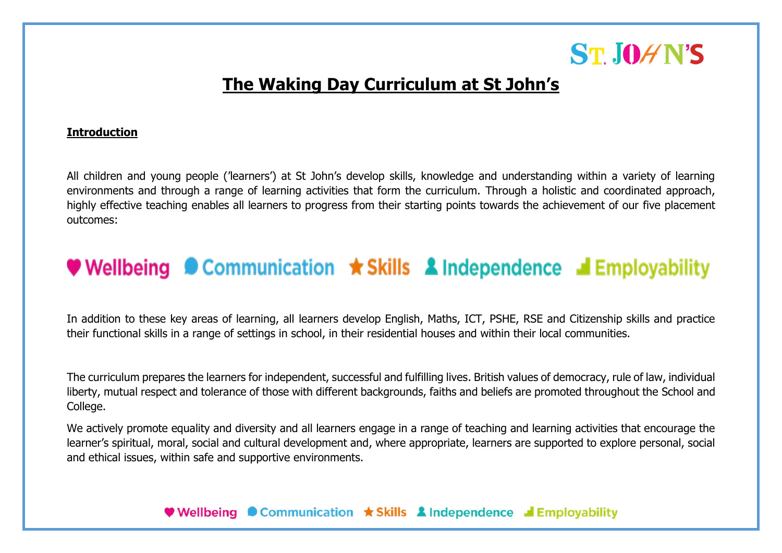

### **The Waking Day Curriculum at St John's**

#### **Introduction**

All children and young people ('learners') at St John's develop skills, knowledge and understanding within a variety of learning environments and through a range of learning activities that form the curriculum. Through a holistic and coordinated approach, highly effective teaching enables all learners to progress from their starting points towards the achievement of our five placement outcomes:

### **Wellbeing © Communication**  $\star$  **Skills & Independence & Employability**

In addition to these key areas of learning, all learners develop English, Maths, ICT, PSHE, RSE and Citizenship skills and practice their functional skills in a range of settings in school, in their residential houses and within their local communities.

The curriculum prepares the learners for independent, successful and fulfilling lives. British values of democracy, rule of law, individual liberty, mutual respect and tolerance of those with different backgrounds, faiths and beliefs are promoted throughout the School and College.

We actively promote equality and diversity and all learners engage in a range of teaching and learning activities that encourage the learner's spiritual, moral, social and cultural development and, where appropriate, learners are supported to explore personal, social and ethical issues, within safe and supportive environments.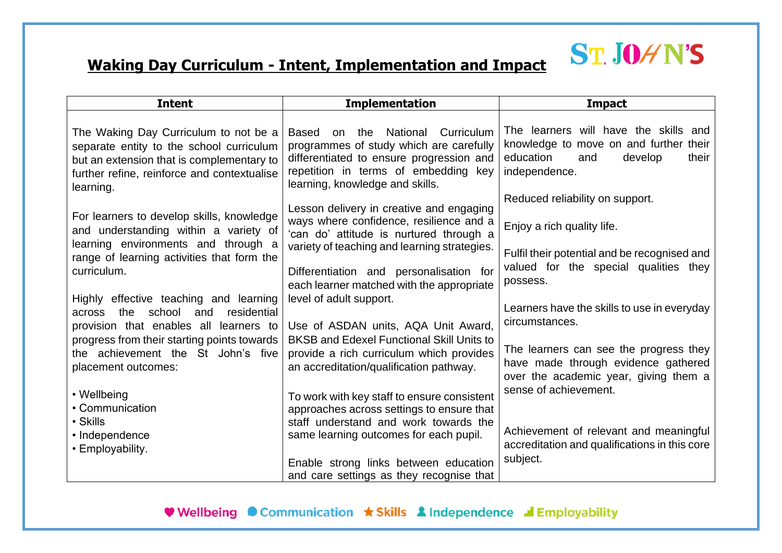## **ST. JOHN'S**

### **Waking Day Curriculum - Intent, Implementation and Impact**

| <b>Intent</b>                                                                                                                                                                              | <b>Implementation</b>                                                                                                                                                                                                                                                  | <b>Impact</b>                                                                                                                                                      |  |  |  |  |
|--------------------------------------------------------------------------------------------------------------------------------------------------------------------------------------------|------------------------------------------------------------------------------------------------------------------------------------------------------------------------------------------------------------------------------------------------------------------------|--------------------------------------------------------------------------------------------------------------------------------------------------------------------|--|--|--|--|
| The Waking Day Curriculum to not be a<br>separate entity to the school curriculum<br>but an extension that is complementary to<br>further refine, reinforce and contextualise<br>learning. | National<br>Curriculum<br>Based<br>the<br>on<br>programmes of study which are carefully<br>differentiated to ensure progression and<br>repetition in terms of embedding key<br>learning, knowledge and skills.                                                         | The learners will have the skills and<br>knowledge to move on and further their<br>education<br>and<br>develop<br>their<br>independence.                           |  |  |  |  |
| For learners to develop skills, knowledge<br>and understanding within a variety of<br>learning environments and through a<br>range of learning activities that form the<br>curriculum.     | Lesson delivery in creative and engaging<br>ways where confidence, resilience and a<br>'can do' attitude is nurtured through a<br>variety of teaching and learning strategies.<br>Differentiation and personalisation for<br>each learner matched with the appropriate | Reduced reliability on support.<br>Enjoy a rich quality life.<br>Fulfil their potential and be recognised and<br>valued for the special qualities they<br>possess. |  |  |  |  |
| Highly effective teaching and learning<br>school<br>residential<br>the<br>and<br>across<br>provision that enables all learners to<br>progress from their starting points towards           | level of adult support.<br>Use of ASDAN units, AQA Unit Award,<br><b>BKSB and Edexel Functional Skill Units to</b>                                                                                                                                                     | Learners have the skills to use in everyday<br>circumstances.                                                                                                      |  |  |  |  |
| the achievement the St John's five<br>placement outcomes:<br>• Wellbeing                                                                                                                   | provide a rich curriculum which provides<br>an accreditation/qualification pathway.<br>To work with key staff to ensure consistent                                                                                                                                     | The learners can see the progress they<br>have made through evidence gathered<br>over the academic year, giving them a<br>sense of achievement.                    |  |  |  |  |
| • Communication<br>• Skills<br>• Independence<br>• Employability.                                                                                                                          | approaches across settings to ensure that<br>staff understand and work towards the<br>same learning outcomes for each pupil.<br>Enable strong links between education<br>and care settings as they recognise that                                                      | Achievement of relevant and meaningful<br>accreditation and qualifications in this core<br>subject.                                                                |  |  |  |  |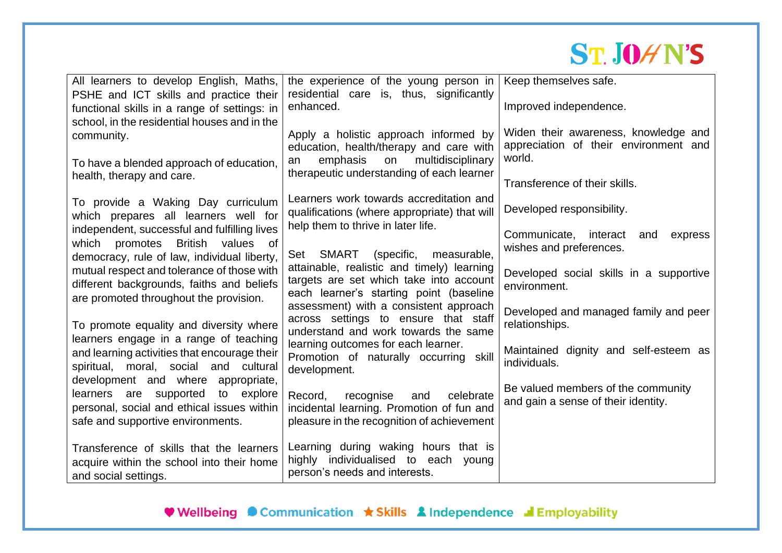# **ST. JOHN'S**

| All learners to develop English, Maths,                                                | the experience of the young person in                                                | Keep themselves safe.                   |  |  |  |  |
|----------------------------------------------------------------------------------------|--------------------------------------------------------------------------------------|-----------------------------------------|--|--|--|--|
| PSHE and ICT skills and practice their                                                 | residential care is, thus, significantly                                             |                                         |  |  |  |  |
| functional skills in a range of settings: in                                           | enhanced.                                                                            | Improved independence.                  |  |  |  |  |
| school, in the residential houses and in the                                           |                                                                                      | Widen their awareness, knowledge and    |  |  |  |  |
| community.                                                                             | Apply a holistic approach informed by                                                | appreciation of their environment and   |  |  |  |  |
|                                                                                        | education, health/therapy and care with<br>multidisciplinary<br>emphasis<br>on<br>an | world.                                  |  |  |  |  |
| To have a blended approach of education,<br>health, therapy and care.                  | therapeutic understanding of each learner                                            |                                         |  |  |  |  |
|                                                                                        |                                                                                      | Transference of their skills.           |  |  |  |  |
| To provide a Waking Day curriculum                                                     | Learners work towards accreditation and                                              |                                         |  |  |  |  |
| which prepares all learners well for                                                   | qualifications (where appropriate) that will                                         | Developed responsibility.               |  |  |  |  |
| independent, successful and fulfilling lives                                           | help them to thrive in later life.                                                   | Communicate, interact<br>and<br>express |  |  |  |  |
| which promotes British values of                                                       |                                                                                      | wishes and preferences.                 |  |  |  |  |
| democracy, rule of law, individual liberty,                                            | Set SMART<br>(specific,<br>measurable,                                               |                                         |  |  |  |  |
| mutual respect and tolerance of those with                                             | attainable, realistic and timely) learning                                           | Developed social skills in a supportive |  |  |  |  |
| different backgrounds, faiths and beliefs                                              | targets are set which take into account<br>each learner's starting point (baseline   | environment.                            |  |  |  |  |
| are promoted throughout the provision.                                                 | assessment) with a consistent approach                                               |                                         |  |  |  |  |
|                                                                                        | across settings to ensure that staff                                                 | Developed and managed family and peer   |  |  |  |  |
| To promote equality and diversity where                                                | understand and work towards the same                                                 | relationships.                          |  |  |  |  |
| learners engage in a range of teaching<br>and learning activities that encourage their | learning outcomes for each learner.                                                  | Maintained dignity and self-esteem as   |  |  |  |  |
| spiritual, moral, social and cultural                                                  | Promotion of naturally occurring skill                                               | individuals.                            |  |  |  |  |
| development and where appropriate,                                                     | development.                                                                         |                                         |  |  |  |  |
| learners are supported<br>to explore                                                   | Record,<br>recognise<br>celebrate<br>and                                             | Be valued members of the community      |  |  |  |  |
| personal, social and ethical issues within                                             | incidental learning. Promotion of fun and                                            | and gain a sense of their identity.     |  |  |  |  |
| safe and supportive environments.                                                      | pleasure in the recognition of achievement                                           |                                         |  |  |  |  |
|                                                                                        |                                                                                      |                                         |  |  |  |  |
| Transference of skills that the learners                                               | Learning during waking hours that is                                                 |                                         |  |  |  |  |
| acquire within the school into their home                                              | highly individualised to each<br>young                                               |                                         |  |  |  |  |
| and social settings.                                                                   | person's needs and interests.                                                        |                                         |  |  |  |  |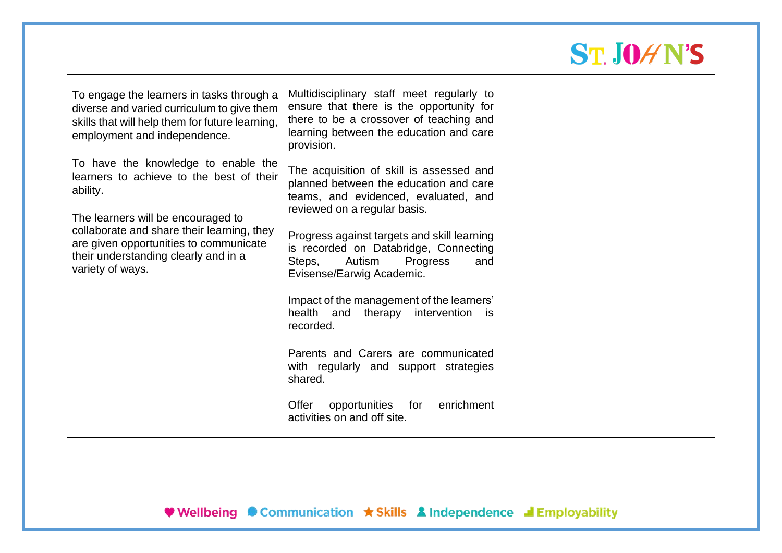# **ST. JOHN'S**

| To engage the learners in tasks through a<br>diverse and varied curriculum to give them<br>skills that will help them for future learning,<br>employment and independence. | Multidisciplinary staff meet regularly to<br>ensure that there is the opportunity for<br>there to be a crossover of teaching and<br>learning between the education and care<br>provision. |  |
|----------------------------------------------------------------------------------------------------------------------------------------------------------------------------|-------------------------------------------------------------------------------------------------------------------------------------------------------------------------------------------|--|
| To have the knowledge to enable the<br>learners to achieve to the best of their<br>ability.<br>The learners will be encouraged to                                          | The acquisition of skill is assessed and<br>planned between the education and care<br>teams, and evidenced, evaluated, and<br>reviewed on a regular basis.                                |  |
| collaborate and share their learning, they<br>are given opportunities to communicate<br>their understanding clearly and in a<br>variety of ways.                           | Progress against targets and skill learning<br>is recorded on Databridge, Connecting<br>Autism<br>Steps,<br>Progress<br>and<br>Evisense/Earwig Academic.                                  |  |
|                                                                                                                                                                            | Impact of the management of the learners'<br>intervention<br>health and<br>therapy<br><b>IS</b><br>recorded.                                                                              |  |
|                                                                                                                                                                            | Parents and Carers are communicated<br>with regularly and support strategies<br>shared.                                                                                                   |  |
|                                                                                                                                                                            | enrichment<br>Offer<br>opportunities<br>for<br>activities on and off site.                                                                                                                |  |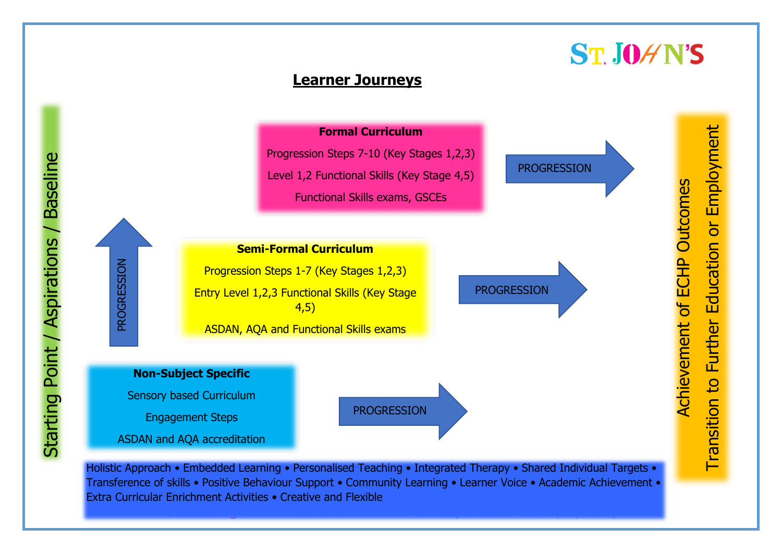

**ST.JOAN'S** 

Holistic Approach • Embedded Learning • Personalised Teaching • Integrated Therapy • Shared Individual Targets • Transference of skills • Positive Behaviour Support • Community Learning • Learner Voice • Academic Achievement • Extra Curricular Enrichment Activities • Creative and Flexible

Starting Point / Aspirations / Baseline Starting Point / Aspirations / Baseline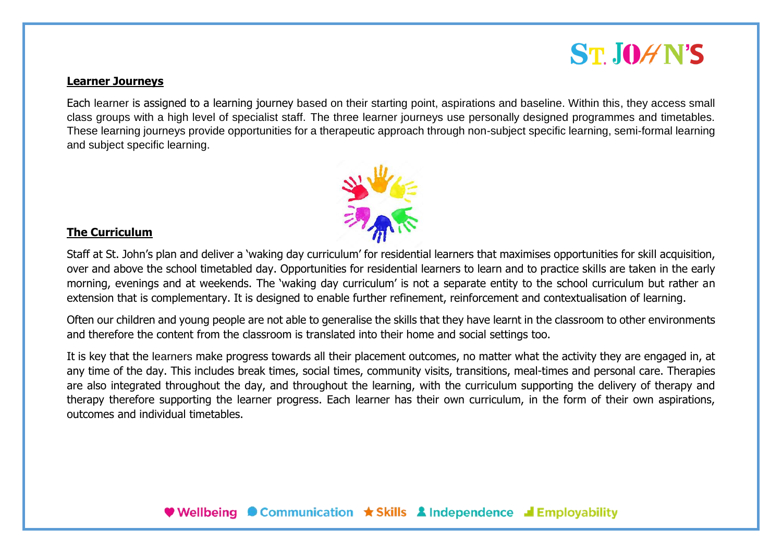## **ST.IOAN'S**

#### **Learner Journeys**

Each learner is assigned to a learning journey based on their starting point, aspirations and baseline. Within this, they access small class groups with a high level of specialist staff. The three learner journeys use personally designed programmes and timetables. These learning journeys provide opportunities for a therapeutic approach through non-subject specific learning, semi-formal learning and subject specific learning.



#### **The Curriculum**

Staff at St. John's plan and deliver a 'waking day curriculum' for residential learners that maximises opportunities for skill acquisition, over and above the school timetabled day. Opportunities for residential learners to learn and to practice skills are taken in the early morning, evenings and at weekends. The 'waking day curriculum' is not a separate entity to the school curriculum but rather an extension that is complementary. It is designed to enable further refinement, reinforcement and contextualisation of learning.

Often our children and young people are not able to generalise the skills that they have learnt in the classroom to other environments and therefore the content from the classroom is translated into their home and social settings too.

It is key that the learners make progress towards all their placement outcomes, no matter what the activity they are engaged in, at any time of the day. This includes break times, social times, community visits, transitions, meal-times and personal care. Therapies are also integrated throughout the day, and throughout the learning, with the curriculum supporting the delivery of therapy and therapy therefore supporting the learner progress. Each learner has their own curriculum, in the form of their own aspirations, outcomes and individual timetables.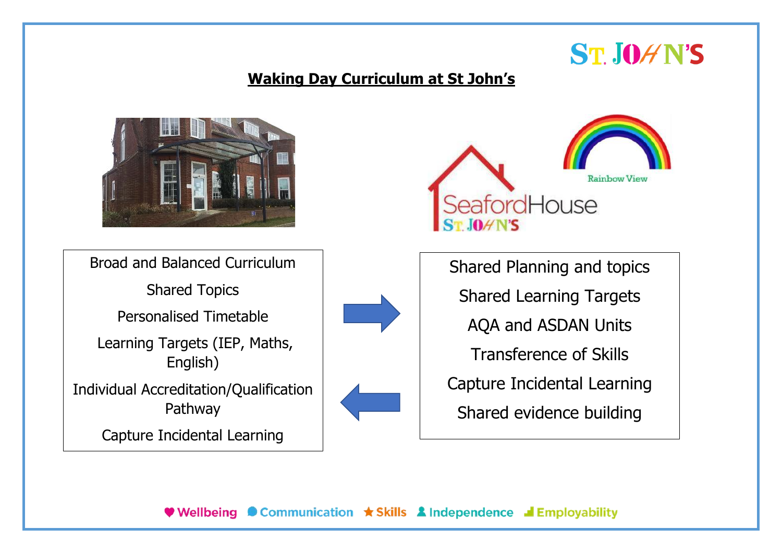# **ST.JOAN'S**

#### **Waking Day Curriculum at St John's**



Broad and Balanced Curriculum

Shared Topics

Personalised Timetable

Learning Targets (IEP, Maths, English)

Individual Accreditation/Qualification Pathway

Capture Incidental Learning





Shared Planning and topics Shared Learning Targets AQA and ASDAN Units Transference of Skills Capture Incidental Learning Shared evidence building